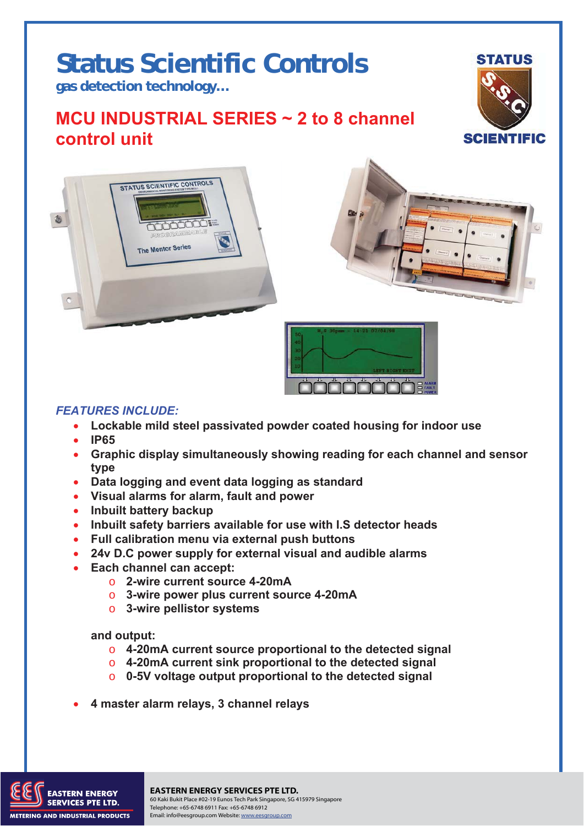# **Status Scientific Controls**

**gas detection technology…** 

## **MCU INDUSTRIAL SERIES ~ 2 to 8 channel control unit**









### *FEATURES INCLUDE:*

- **Lockable mild steel passivated powder coated housing for indoor use**
- **IP65**
- **Graphic display simultaneously showing reading for each channel and sensor type**
- **Data logging and event data logging as standard**
- **Visual alarms for alarm, fault and power**
- **Inbuilt battery backup**
- **Inbuilt safety barriers available for use with I.S detector heads**
- **Full calibration menu via external push buttons**
- **24v D.C power supply for external visual and audible alarms**
- **Each channel can accept:** 
	- o **2-wire current source 4-20mA**
	- o **3-wire power plus current source 4-20mA**
	- o **3-wire pellistor systems**

**and output:** 

- o **4-20mA current source proportional to the detected signal**
- o **4-20mA current sink proportional to the detected signal**
- o **0-5V voltage output proportional to the detected signal**
- **4 master alarm relays, 3 channel relays**



to the transition of the South Place #02-19 Eunos Tech Park Singapore, SG 415979 Singapore<br>En Marco DTE 1 Th **EASTERN ENERGY SERVICES PTE LTD.** Telephone: +65-6748 6911 Fax: +65-6748 6912 Email: info@eesgroup.com Website: www.eesgroup.com